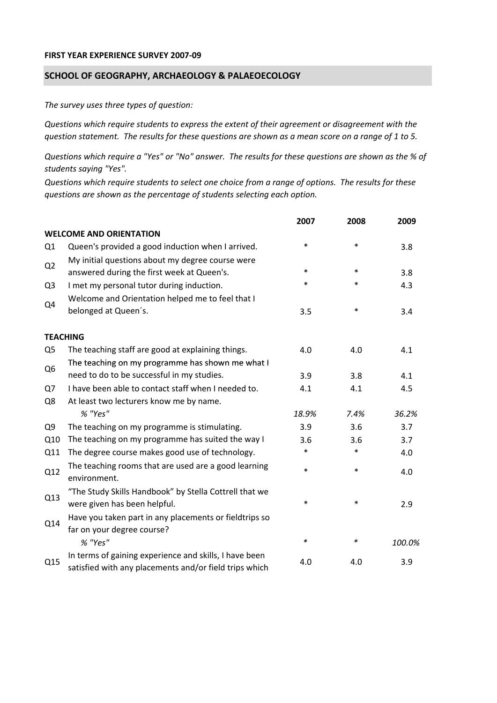## **FIRST YEAR EXPERIENCE SURVEY 2007‐09**

## **SCHOOL OF GEOGRAPHY, ARCHAEOLOGY & PALAEOECOLOGY**

*The survey uses three types of question:*

*Questions which require students to express the extent of their agreement or disagreement with the* question statement. The results for these questions are shown as a mean score on a range of 1 to 5.

Questions which require a "Yes" or "No" answer. The results for these questions are shown as the % of *students saying "Yes".*

Questions which require students to select one choice from a range of options. The results for these *questions are shown as the percentage of students selecting each option.*

|                |                                                                                                                  | 2007   | 2008   | 2009   |
|----------------|------------------------------------------------------------------------------------------------------------------|--------|--------|--------|
|                | <b>WELCOME AND ORIENTATION</b>                                                                                   |        |        |        |
| Q1             | Queen's provided a good induction when I arrived.                                                                | $\ast$ | $\ast$ | 3.8    |
| Q2             | My initial questions about my degree course were<br>answered during the first week at Queen's.                   | $\ast$ | $\ast$ | 3.8    |
| Q <sub>3</sub> | I met my personal tutor during induction.                                                                        | $\ast$ | $\ast$ | 4.3    |
|                | Welcome and Orientation helped me to feel that I                                                                 |        |        |        |
| Q4             | belonged at Queen's.                                                                                             | 3.5    | $\ast$ | 3.4    |
|                | <b>TEACHING</b>                                                                                                  |        |        |        |
| Q <sub>5</sub> | The teaching staff are good at explaining things.                                                                | 4.0    | 4.0    | 4.1    |
|                | The teaching on my programme has shown me what I                                                                 |        |        |        |
| Q <sub>6</sub> | need to do to be successful in my studies.                                                                       | 3.9    | 3.8    | 4.1    |
| Q7             | I have been able to contact staff when I needed to.                                                              | 4.1    | 4.1    | 4.5    |
| Q8             | At least two lecturers know me by name.                                                                          |        |        |        |
|                | % "Yes"                                                                                                          | 18.9%  | 7.4%   | 36.2%  |
| Q <sub>9</sub> | The teaching on my programme is stimulating.                                                                     | 3.9    | 3.6    | 3.7    |
| Q10            | The teaching on my programme has suited the way I                                                                | 3.6    | 3.6    | 3.7    |
| Q11            | The degree course makes good use of technology.                                                                  | $\ast$ | $\ast$ | 4.0    |
| Q12            | The teaching rooms that are used are a good learning<br>environment.                                             | $\ast$ | $\ast$ | 4.0    |
| Q13            | "The Study Skills Handbook" by Stella Cottrell that we<br>were given has been helpful.                           | $\ast$ | $\ast$ | 2.9    |
| Q14            | Have you taken part in any placements or fieldtrips so<br>far on your degree course?                             |        |        |        |
|                | % "Yes"                                                                                                          | *      | ∗      | 100.0% |
| Q15            | In terms of gaining experience and skills, I have been<br>satisfied with any placements and/or field trips which | 4.0    | 4.0    | 3.9    |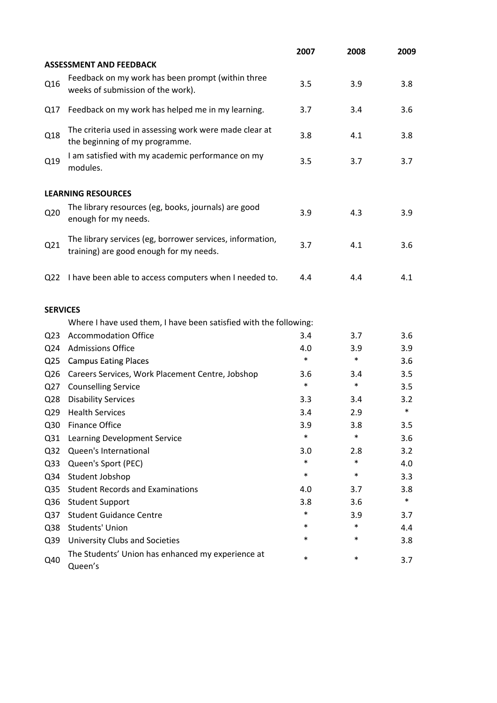|                 |                                                                                                      | 2007   | 2008   | 2009   |
|-----------------|------------------------------------------------------------------------------------------------------|--------|--------|--------|
|                 | <b>ASSESSMENT AND FEEDBACK</b>                                                                       |        |        |        |
| Q16             | Feedback on my work has been prompt (within three<br>weeks of submission of the work).               | 3.5    | 3.9    | 3.8    |
| Q17             | Feedback on my work has helped me in my learning.                                                    | 3.7    | 3.4    | 3.6    |
| Q18             | The criteria used in assessing work were made clear at<br>the beginning of my programme.             | 3.8    | 4.1    | 3.8    |
| Q19             | I am satisfied with my academic performance on my<br>modules.                                        | 3.5    | 3.7    | 3.7    |
|                 | <b>LEARNING RESOURCES</b>                                                                            |        |        |        |
| Q <sub>20</sub> | The library resources (eg, books, journals) are good<br>enough for my needs.                         | 3.9    | 4.3    | 3.9    |
| Q21             | The library services (eg, borrower services, information,<br>training) are good enough for my needs. | 3.7    | 4.1    | 3.6    |
| Q <sub>22</sub> | I have been able to access computers when I needed to.                                               | 4.4    | 4.4    | 4.1    |
| <b>SERVICES</b> |                                                                                                      |        |        |        |
|                 | Where I have used them, I have been satisfied with the following:                                    |        |        |        |
| Q <sub>23</sub> | <b>Accommodation Office</b>                                                                          | 3.4    | 3.7    | 3.6    |
| Q <sub>24</sub> | <b>Admissions Office</b>                                                                             | 4.0    | 3.9    | 3.9    |
| Q <sub>25</sub> | <b>Campus Eating Places</b>                                                                          | $\ast$ | $\ast$ | 3.6    |
| Q <sub>26</sub> | Careers Services, Work Placement Centre, Jobshop                                                     | 3.6    | 3.4    | 3.5    |
| Q <sub>27</sub> | <b>Counselling Service</b>                                                                           | $\ast$ | $\ast$ | 3.5    |
| Q <sub>28</sub> | <b>Disability Services</b>                                                                           | 3.3    | 3.4    | 3.2    |
| Q <sub>29</sub> | <b>Health Services</b>                                                                               | 3.4    | 2.9    | $\ast$ |
| Q30             | <b>Finance Office</b>                                                                                | 3.9    | 3.8    | 3.5    |
| Q31             | Learning Development Service                                                                         | $\ast$ | $\ast$ | 3.6    |
| Q <sub>32</sub> | Queen's International                                                                                | 3.0    | 2.8    | 3.2    |
| Q <sub>33</sub> | Queen's Sport (PEC)                                                                                  | $\ast$ | $\ast$ | 4.0    |
| Q34             | Student Jobshop                                                                                      | $\ast$ | $\ast$ | 3.3    |
| Q <sub>35</sub> | <b>Student Records and Examinations</b>                                                              | 4.0    | 3.7    | 3.8    |
| Q36             | <b>Student Support</b>                                                                               | 3.8    | 3.6    | $\ast$ |
| Q <sub>37</sub> | <b>Student Guidance Centre</b>                                                                       | *      | 3.9    | 3.7    |
| Q38             | <b>Students' Union</b>                                                                               | *      | $\ast$ | 4.4    |
| Q39             | University Clubs and Societies                                                                       | *      | $\ast$ | 3.8    |
| Q40             | The Students' Union has enhanced my experience at<br>Queen's                                         | *      | $\ast$ | 3.7    |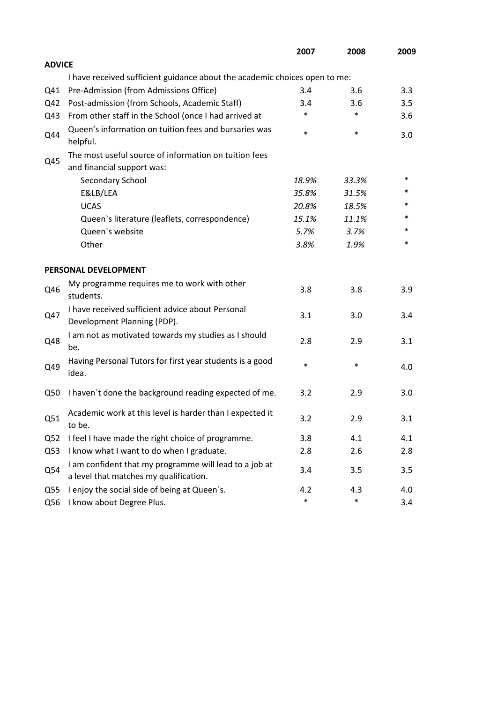|                 |                                                                                                  | 2007   | 2008   | 2009 |
|-----------------|--------------------------------------------------------------------------------------------------|--------|--------|------|
| <b>ADVICE</b>   |                                                                                                  |        |        |      |
|                 | I have received sufficient guidance about the academic choices open to me:                       |        |        |      |
| Q41             | Pre-Admission (from Admissions Office)                                                           | 3.4    | 3.6    | 3.3  |
| Q42             | Post-admission (from Schools, Academic Staff)                                                    | 3.4    | 3.6    | 3.5  |
| Q43             | From other staff in the School (once I had arrived at                                            | *      | $\ast$ | 3.6  |
| Q44             | Queen's information on tuition fees and bursaries was<br>helpful.                                | $\ast$ | $\ast$ | 3.0  |
|                 | The most useful source of information on tuition fees                                            |        |        |      |
| Q45             | and financial support was:                                                                       |        |        |      |
|                 | Secondary School                                                                                 | 18.9%  | 33.3%  | ∗    |
|                 | E&LB/LEA                                                                                         | 35.8%  | 31.5%  | *    |
|                 | <b>UCAS</b>                                                                                      | 20.8%  | 18.5%  |      |
|                 | Queen's literature (leaflets, correspondence)                                                    | 15.1%  | 11.1%  | *    |
|                 | Queen's website                                                                                  | 5.7%   | 3.7%   | *    |
|                 | Other                                                                                            | 3.8%   | 1.9%   | *    |
|                 | PERSONAL DEVELOPMENT                                                                             |        |        |      |
| Q46             | My programme requires me to work with other<br>students.                                         | 3.8    | 3.8    | 3.9  |
| Q47             | I have received sufficient advice about Personal<br>Development Planning (PDP).                  | 3.1    | 3.0    | 3.4  |
| Q48             | I am not as motivated towards my studies as I should<br>be.                                      | 2.8    | 2.9    | 3.1  |
| Q49             | Having Personal Tutors for first year students is a good<br>idea.                                | $\ast$ | $\ast$ | 4.0  |
| Q50             | I haven't done the background reading expected of me.                                            | 3.2    | 2.9    | 3.0  |
| Q51             | Academic work at this level is harder than I expected it<br>to be.                               | 3.2    | 2.9    | 3.1  |
| Q <sub>52</sub> | I feel I have made the right choice of programme.                                                | 3.8    | 4.1    | 4.1  |
| Q53             | I know what I want to do when I graduate.                                                        | 2.8    | 2.6    | 2.8  |
| Q54             | I am confident that my programme will lead to a job at<br>a level that matches my qualification. | 3.4    | 3.5    | 3.5  |
| Q <sub>55</sub> | I enjoy the social side of being at Queen's.                                                     | 4.2    | 4.3    | 4.0  |
| Q56             | I know about Degree Plus.                                                                        | $\ast$ | $\ast$ | 3.4  |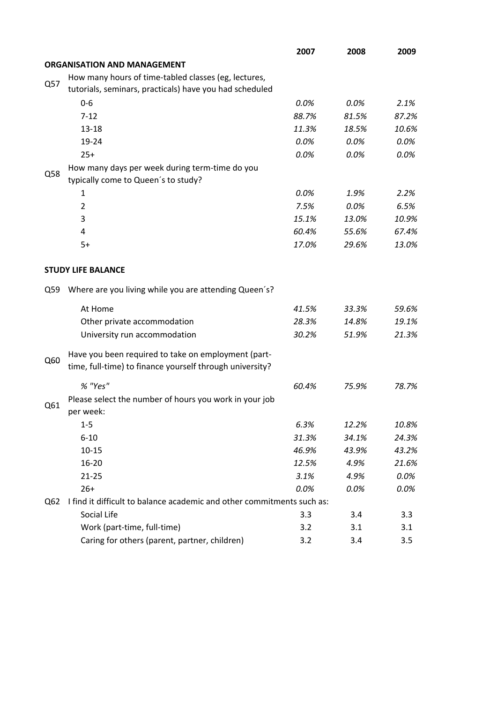|     |                                                                        | 2007  | 2008  | 2009  |
|-----|------------------------------------------------------------------------|-------|-------|-------|
|     | <b>ORGANISATION AND MANAGEMENT</b>                                     |       |       |       |
|     | How many hours of time-tabled classes (eg, lectures,                   |       |       |       |
| Q57 | tutorials, seminars, practicals) have you had scheduled                |       |       |       |
|     | $0-6$                                                                  | 0.0%  | 0.0%  | 2.1%  |
|     | $7 - 12$                                                               | 88.7% | 81.5% | 87.2% |
|     | $13 - 18$                                                              | 11.3% | 18.5% | 10.6% |
|     | 19-24                                                                  | 0.0%  | 0.0%  | 0.0%  |
|     | $25+$                                                                  | 0.0%  | 0.0%  | 0.0%  |
|     | How many days per week during term-time do you                         |       |       |       |
| Q58 | typically come to Queen's to study?                                    |       |       |       |
|     | 1                                                                      | 0.0%  | 1.9%  | 2.2%  |
|     | $\overline{2}$                                                         | 7.5%  | 0.0%  | 6.5%  |
|     | 3                                                                      | 15.1% | 13.0% | 10.9% |
|     | 4                                                                      | 60.4% | 55.6% | 67.4% |
|     | $5+$                                                                   | 17.0% | 29.6% | 13.0% |
|     |                                                                        |       |       |       |
|     | <b>STUDY LIFE BALANCE</b>                                              |       |       |       |
| Q59 | Where are you living while you are attending Queen's?                  |       |       |       |
|     | At Home                                                                | 41.5% | 33.3% | 59.6% |
|     | Other private accommodation                                            | 28.3% | 14.8% | 19.1% |
|     | University run accommodation                                           | 30.2% | 51.9% | 21.3% |
|     | Have you been required to take on employment (part-                    |       |       |       |
| Q60 | time, full-time) to finance yourself through university?               |       |       |       |
|     | % "Yes"                                                                | 60.4% | 75.9% | 78.7% |
|     | Please select the number of hours you work in your job                 |       |       |       |
| Q61 | per week:                                                              |       |       |       |
|     | $1 - 5$                                                                | 6.3%  | 12.2% | 10.8% |
|     | $6 - 10$                                                               | 31.3% | 34.1% | 24.3% |
|     | $10 - 15$                                                              | 46.9% | 43.9% | 43.2% |
|     | 16-20                                                                  | 12.5% | 4.9%  | 21.6% |
|     | $21 - 25$                                                              | 3.1%  | 4.9%  | 0.0%  |
|     | $26+$                                                                  | 0.0%  | 0.0%  | 0.0%  |
| Q62 | I find it difficult to balance academic and other commitments such as: |       |       |       |
|     | Social Life                                                            | 3.3   | 3.4   | 3.3   |
|     | Work (part-time, full-time)                                            | 3.2   | 3.1   | 3.1   |
|     | Caring for others (parent, partner, children)                          | 3.2   | 3.4   | 3.5   |